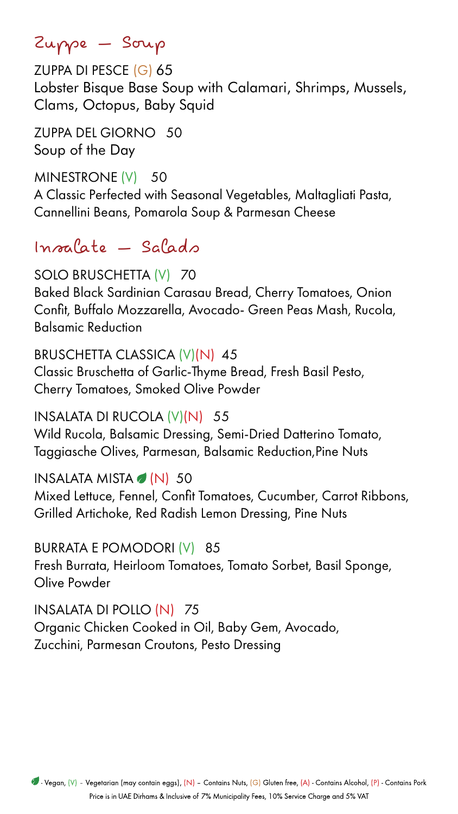Zuppe – Soup

ZUPPA DI PESCE (G) 65 Lobster Bisque Base Soup with Calamari, Shrimps, Mussels, Clams, Octopus, Baby Squid

**ZUPPA DEL GIORNO 50** Soup of the Day

MINESTRONE (V) 50 A Classic Perfected with Seasonal Vegetables, Maltagliati Pasta, Cannellini Beans, Pomarola Soup & Parmesan Cheese

 $Inocale - Salado$ 

### SOLO BRUSCHETTA (V) 70

Baked Black Sardinian Carasau Bread, Cherry Tomatoes, Onion Confit, Buffalo Mozzarella, Avocado- Green Peas Mash, Rucola, **Balsamic Reduction** 

### BRUSCHETTA CLASSICA (V)(N) 45

Classic Bruschetta of Garlic-Thyme Bread, Fresh Basil Pesto,

Cherry Tomatoes, Smoked Olive Powder

INSALATA DI RUCOLA (V)(N) 55

Wild Rucola, Balsamic Dressing, Semi-Dried Datterino Tomato, Taggiasche Olives, Parmesan, Balsamic Reduction, Pine Nuts

INSALATA MISTA  $\bullet$  (N) 50

Mixed Lettuce, Fennel, Confit Tomatoes, Cucumber, Carrot Ribbons, Grilled Artichoke, Red Radish Lemon Dressing, Pine Nuts

BURRATA E POMODORI (V) 85

Fresh Burrata, Heirloom Tomatoes, Tomato Sorbet, Basil Sponge, Olive Powder

INSALATA DI POLLO (N) 75 Organic Chicken Cooked in Oil, Baby Gem, Avocado,

Zucchini, Parmesan Croutons, Pesto Dressing

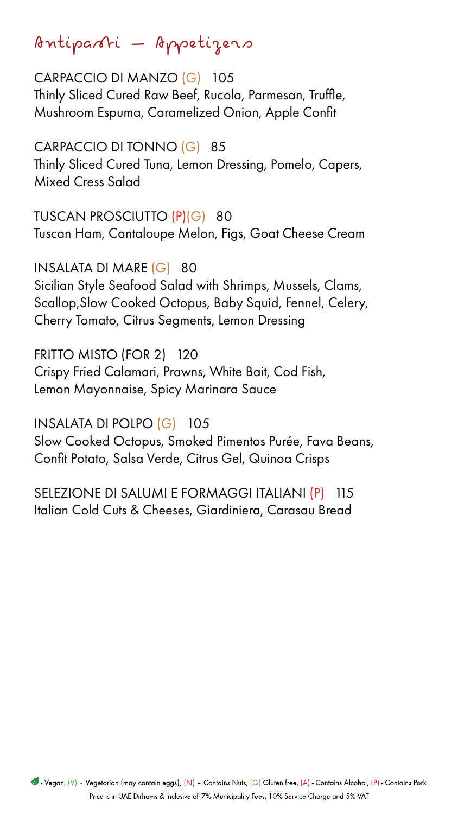Antipasti – Appetizers

CARPACCIO DI MANZO (G) 105 Thinly Sliced Cured Raw Beef, Rucola, Parmesan, Truffle, Mushroom Espuma, Caramelized Onion, Apple Confit

CARPACCIO DI TONNO (G) 85 Thinly Sliced Cured Tuna, Lemon Dressing, Pomelo, Capers, **Mixed Cress Salad** 

TUSCAN PROSCIUTTO (P)(G) 80 Tuscan Ham, Cantaloupe Melon, Figs, Goat Cheese Cream

INSALATA DI MARE (G) 80 Sicilian Style Seafood Salad with Shrimps, Mussels, Clams, Scallop, Slow Cooked Octopus, Baby Squid, Fennel, Celery, Cherry Tomato, Citrus Segments, Lemon Dressing

FRITTO MISTO (FOR 2) 120 Crispy Fried Calamari, Prawns, White Bait, Cod Fish,

Lemon Mayonnaise, Spicy Marinara Sauce

INSALATA DI POLPO (G) 105 Slow Cooked Octopus, Smoked Pimentos Purée, Fava Beans, Confit Potato, Salsa Verde, Citrus Gel, Quinoa Crisps

SELEZIONE DI SALUMI E FORMAGGI ITALIANI (P) 115 Italian Cold Cuts & Cheeses, Giardiniera, Carasau Bread

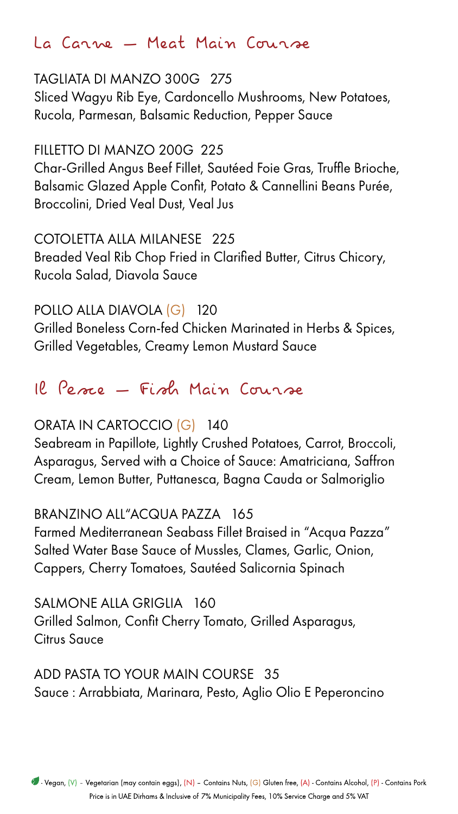## La Carne — Meat Main Course

TAGLIATA DI MANZO 300G 275 Sliced Wagyu Rib Eye, Cardoncello Mushrooms, New Potatoes, Rucola, Parmesan, Balsamic Reduction, Pepper Sauce

FILLETTO DI MANZO 200G 225 Char-Grilled Angus Beef Fillet, Sautéed Foie Gras, Truffle Brioche, Balsamic Glazed Apple Confit, Potato & Cannellini Beans Purée, **Broccolini, Dried Veal Dust, Veal Jus** 

COTOLETTA ALLA MILANESE 225 Breaded Veal Rib Chop Fried in Clarified Butter, Citrus Chicory, Rucola Salad, Diavola Sauce

POLLO ALLA DIAVOLA (G) 120 Grilled Boneless Corn-fed Chicken Marinated in Herbs & Spices, Grilled Vegetables, Creamy Lemon Mustard Sauce



## 12 Perre - Firch Main Course

### ORATA IN CARTOCCIO (G) 140

Seabream in Papillote, Lightly Crushed Potatoes, Carrot, Broccoli, Asparagus, Served with a Choice of Sauce: Amatriciana, Saffron Cream, Lemon Butter, Puttanesca, Bagna Cauda or Salmoriglio

### BRANZINO ALL'ACQUA PAZZA 165

Farmed Mediterranean Seabass Fillet Braised in "Acqua Pazza" Salted Water Base Sauce of Mussles, Clames, Garlic, Onion, Cappers, Cherry Tomatoes, Sautéed Salicornia Spinach

SALMONE ALLA GRIGLIA 160 Grilled Salmon, Confit Cherry Tomato, Grilled Asparagus, **Citrus Sauce** 

ADD PASTA TO YOUR MAIN COURSE 35 Sauce: Arrabbiata, Marinara, Pesto, Aglio Olio E Peperoncino

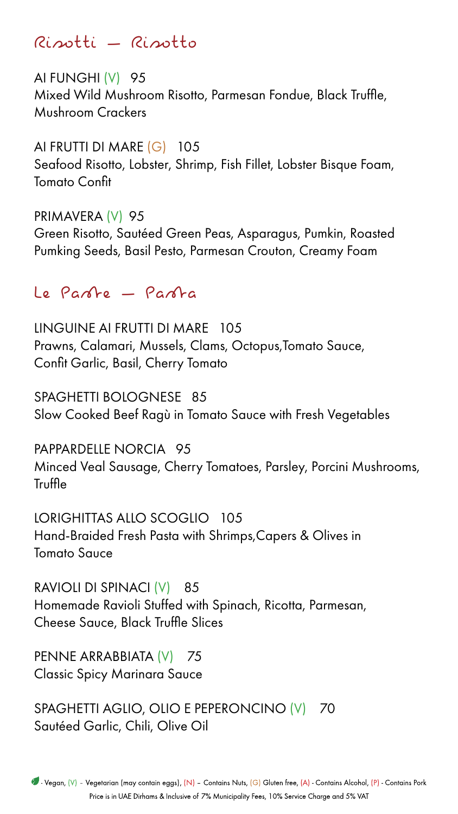Risotto – Risotti

AI FUNGHI (V) 95 Mixed Wild Mushroom Risotto, Parmesan Fondue, Black Truffle, Mushroom Crackers

AI FRUTTI DI MARE (G) 105 Seafood Risotto, Lobster, Shrimp, Fish Fillet, Lobster Bisque Foam, **Tomato Confit** 

PRIMAVERA (V) 95 Green Risotto, Sautéed Green Peas, Asparagus, Pumkin, Roasted Pumking Seeds, Basil Pesto, Parmesan Crouton, Creamy Foam

Le Parte – Parta

LINGUINE AI FRUTTI DI MARE 105 Prawns, Calamari, Mussels, Clams, Octopus,Tomato Sauce, Confit Garlic, Basil, Cherry Tomato

SPAGHETTI BOLOGNESE 85 Slow Cooked Beef Ragù in Tomato Sauce with Fresh Vegetables

PAPPARDELLE NORCIA 95 Minced Veal Sausage, Cherry Tomatoes, Parsley, Porcini Mushrooms, **Truffle** 

LORIGHITTAS ALLO SCOGLIO 105 Hand-Braided Fresh Pasta with Shrimps, Capers & Olives in **Tomato Sauce** 

RAVIOLI DI SPINACI (V) 85 Homemade Ravioli Stuffed with Spinach, Ricotta, Parmesan, Cheese Sauce, Black Truffle Slices

PENNE ARRABBIATA (V) 75 Classic Spicy Marinara Sauce

SPAGHETTI AGLIO, OLIO E PEPERONCINO (V) 70 Sautéed Garlic, Chili, Olive Oil

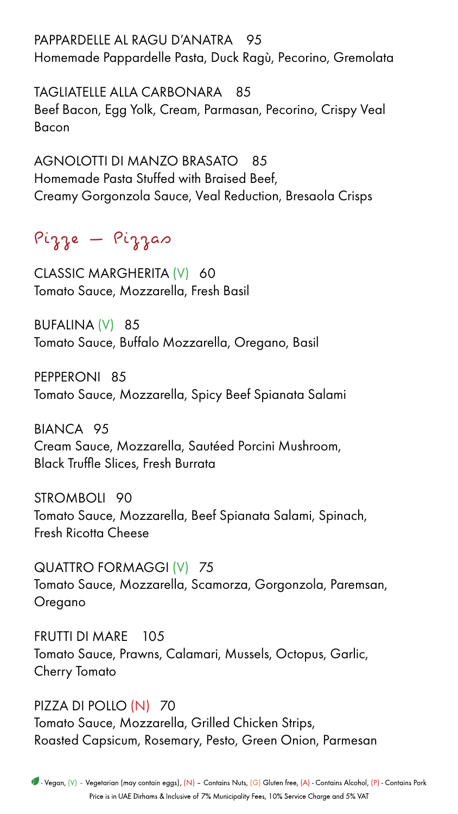PAPPARDELLE AL RAGU D'ANATRA 95 Homemade Pappardelle Pasta, Duck Ragù, Pecorino, Gremolata

TAGLIATELLE ALLA CARBONARA 85 Beef Bacon, Egg Yolk, Cream, Parmasan, Pecorino, Crispy Veal Bacon

AGNOLOTTI DI MANZO BRASATO 85 Homemade Pasta Stuffed with Braised Beef, Creamy Gorgonzola Sauce, Veal Reduction, Bresaola Crisps

Pizzas – Pizze

CLASSIC MARGHERITA (V) 60 Tomato Sauce, Mozzarella, Fresh Basil

BUFALINA (V) 85 Tomato Sauce, Buffalo Mozzarella, Oregano, Basil

PEPPERONI 85

Tomato Sauce, Mozzarella, Spicy Beef Spianata Salami

BIANCA 95 Cream Sauce, Mozzarella, Sautéed Porcini Mushroom, Black Truffle Slices, Fresh Burrata

STROMBOLI 90 Tomato Sauce, Mozzarella, Beef Spianata Salami, Spinach, Fresh Ricotta Cheese

QUATTRO FORMAGGI (V) 75 Tomato Sauce, Mozzarella, Scamorza, Gorgonzola, Paremsan, Oregano

FRUTTI DI MARE 105 Tomato Sauce, Prawns, Calamari, Mussels, Octopus, Garlic, **Cherry Tomato** 

### PIZZA DI POLLO (N) 70

Tomato Sauce, Mozzarella, Grilled Chicken Strips, Roasted Capsicum, Rosemary, Pesto, Green Onion, Parmesan

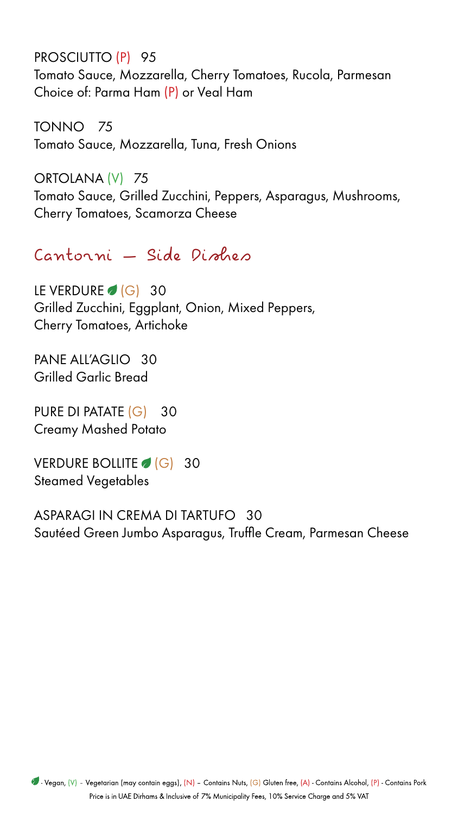PROSCIUTTO (P) 95 Tomato Sauce, Mozzarella, Cherry Tomatoes, Rucola, Parmesan Choice of: Parma Ham (P) or Veal Ham

TONNO 75 Tomato Sauce, Mozzarella, Tuna, Fresh Onions

ORTOLANA (V) 75 Tomato Sauce, Grilled Zucchini, Peppers, Asparagus, Mushrooms, Cherry Tomatoes, Scamorza Cheese

Cantorni — Side Dishes

LE VERDURE  $\bigcirc$  (G) 30 Grilled Zucchini, Eggplant, Onion, Mixed Peppers, **Cherry Tomatoes, Artichoke** 

PANE ALL'AGLIO 30 **Grilled Garlic Bread** 

PURE DI PATATE (G) 30 **Creamy Mashed Potato** 

VERDURE BOLLITE (G) 30 **Steamed Vegetables** 

ASPARAGI IN CREMA DI TARTUFO 30 Sautéed Green Jumbo Asparagus, Truffle Cream, Parmesan Cheese

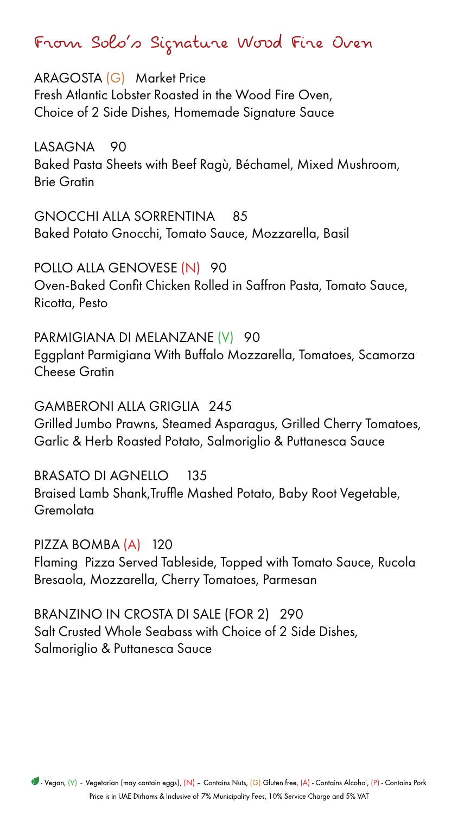From Solo's Signature Wood Fire Oven

ARAGOSTA (G) Market Price Fresh Atlantic Lobster Roasted in the Wood Fire Oven, Choice of 2 Side Dishes, Homemade Signature Sauce

LASAGNA 90 Baked Pasta Sheets with Beef Ragù, Béchamel, Mixed Mushroom, **Brie Gratin** 

GNOCCHI ALLA SORRENTINA 85 Baked Potato Gnocchi, Tomato Sauce, Mozzarella, Basil

POLLO ALLA GENOVESE (N) 90 Oven-Baked Confit Chicken Rolled in Saffron Pasta, Tomato Sauce, Ricotta, Pesto

PARMIGIANA DI MELANZANE (V) 90 Eggplant Parmigiana With Buffalo Mozzarella, Tomatoes, Scamorza **Cheese Gratin** 

BRASATO DI AGNELLO 135 Braised Lamb Shank, Truffle Mashed Potato, Baby Root Vegetable, Gremolata

PIZZA BOMBA (A) 120 Flaming Pizza Served Tableside, Topped with Tomato Sauce, Rucola Bresaola, Mozzarella, Cherry Tomatoes, Parmesan

BRANZINO IN CROSTA DI SALE (FOR 2) 290 Salt Crusted Whole Seabass with Choice of 2 Side Dishes, Salmoriglio & Puttanesca Sauce



#### Price is in UAE Dirhams & Inclusive of 7% Municipality Fees, 10% Service Charge and 5% VAT

### 245 GRIGLIA ALLA GAMBERONI

Grilled Jumbo Prawns, Steamed Asparagus, Grilled Cherry Tomatoes, Garlic & Herb Roasted Potato, Salmoriglio & Puttanesca Sauce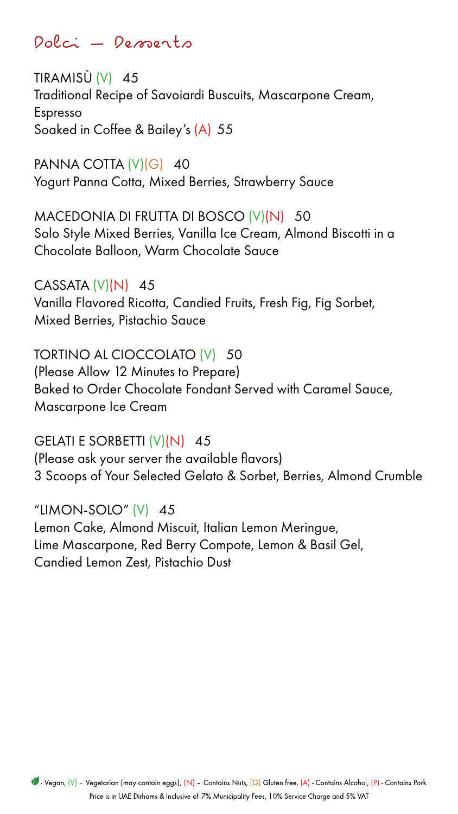Dolci – Desperts

TIRAMISÙ  $(V)$  45 Traditional Recipe of Savoiardi Buscuits, Mascarpone Cream, Espresso Soaked in Coffee & Bailey's (A) 55

PANNA COTTA  $(V)(G)$  40 Yogurt Panna Cotta, Mixed Berries, Strawberry Sauce

MACEDONIA DI FRUTTA DI BOSCO (V)(N) 50 Solo Style Mixed Berries, Vanilla Ice Cream, Almond Biscotti in a Chocolate Balloon, Warm Chocolate Sauce

 $CASSATA (V)(N) 45$ Vanilla Flavored Ricotta, Candied Fruits, Fresh Fig, Fig Sorbet, Mixed Berries, Pistachio Sauce

TORTINO AL CIOCCOLATO (V) 50 (Please Allow 12 Minutes to Prepare)

Baked to Order Chocolate Fondant Served with Caramel Sauce, Mascarpone Ice Cream

GELATI E SORBETTI  $(V)(N)$  45 (Please ask your server the available flavors) 3 Scoops of Your Selected Gelato & Sorbet, Berries, Almond Crumble

# "LIMON-SOLO"  $(V)$  45

Lemon Cake, Almond Miscuit, Italian Lemon Meringue, Lime Mascarpone, Red Berry Compote, Lemon & Basil Gel, Candied Lemon Zest, Pistachio Dust